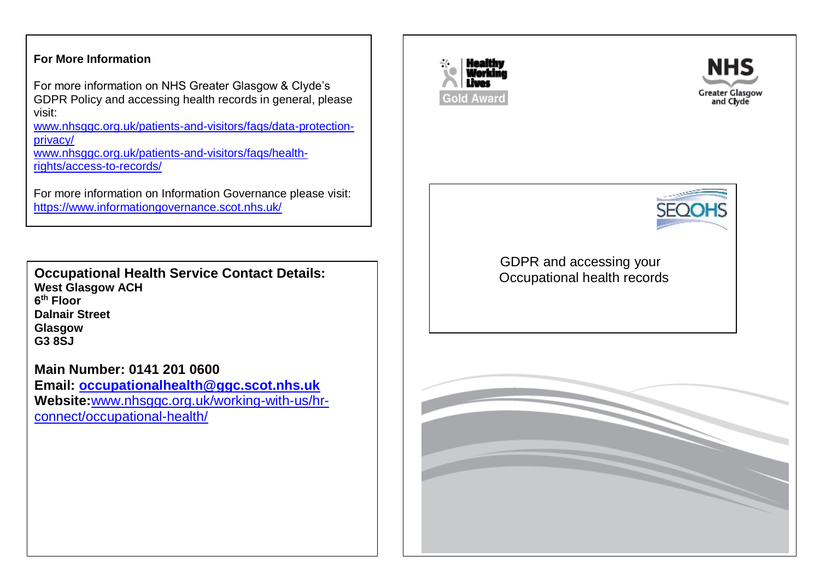### **For More Information**

For more information on NHS Greater Glasgow & Clyde's GDPR Policy and accessing health records in general, please visit:

www.nhsggc.org.uk/patients-and-visitors/fags/data-protection[privacy/](http://www.nhsggc.org.uk/patients-and-visitors/faqs/data-protection-privacy/)

[www.nhsggc.org.uk/patients-and-visitors/faqs/health](https://www.nhsggc.org.uk/patients-and-visitors/faqs/health-rights/access-to-records/)[rights/access-to-records/](https://www.nhsggc.org.uk/patients-and-visitors/faqs/health-rights/access-to-records/)

For more information on Information Governance please visit: <https://www.informationgovernance.scot.nhs.uk/>

**Occupational Health Service Contact Details: West Glasgow ACH 6 th Floor Dalnair Street Glasgow G3 8SJ**

# **Main Number: 0141 201 0600**

**Email: [occupationalhealth@ggc.scot.nhs.uk](mailto:occupationalhealth@ggc.scot.nhs.uk) Website:**[www.nhsggc.org.uk/working-with-us/hr](http://www.nhsggc.org.uk/working-with-us/hr-connect/occupational-health/)[connect/occupational-health/](http://www.nhsggc.org.uk/working-with-us/hr-connect/occupational-health/)



G

 $\overline{\phantom{a}}$ 

 $\mathsf{L}$  $\mathbf{I}$ 





 GDPR and accessing your Occupational health records